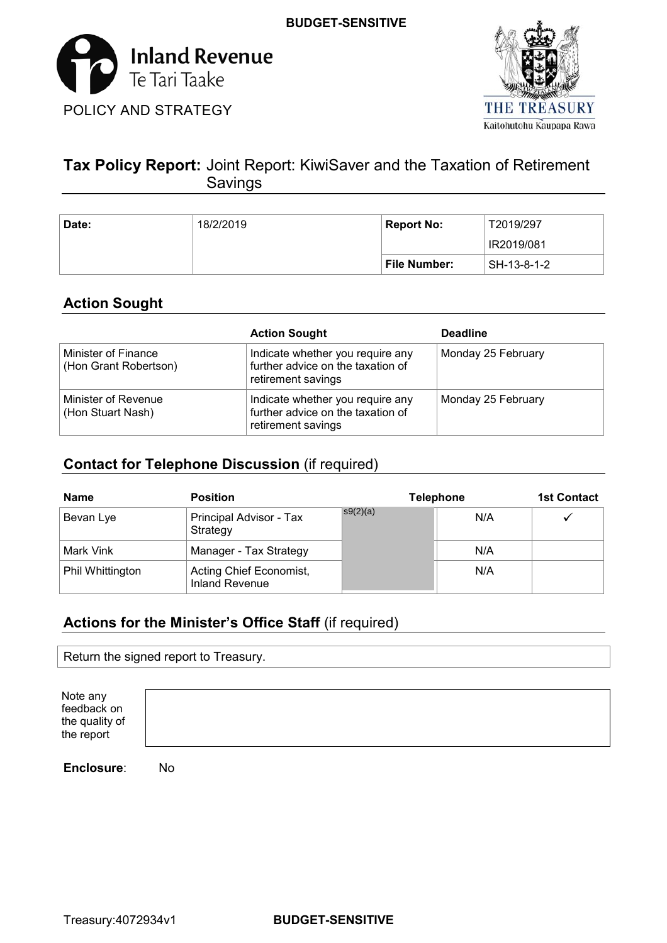



# **Tax Policy Report:** Joint Report: KiwiSaver and the Taxation of Retirement Savings

| Date: | 18/2/2019 | <b>Report No:</b> | T2019/297   |
|-------|-----------|-------------------|-------------|
|       |           |                   | IR2019/081  |
|       |           | File Number:      | SH-13-8-1-2 |

# **Action Sought**

|                                              | <b>Action Sought</b>                                                                        | <b>Deadline</b>    |
|----------------------------------------------|---------------------------------------------------------------------------------------------|--------------------|
| Minister of Finance<br>(Hon Grant Robertson) | Indicate whether you require any<br>further advice on the taxation of<br>retirement savings | Monday 25 February |
| Minister of Revenue<br>(Hon Stuart Nash)     | Indicate whether you require any<br>further advice on the taxation of<br>retirement savings | Monday 25 February |

# **Contact for Telephone Discussion** (if required)

| <b>Name</b>      | <b>Position</b>                                  |          | <b>Telephone</b> | <b>1st Contact</b> |
|------------------|--------------------------------------------------|----------|------------------|--------------------|
| Bevan Lye        | Principal Advisor - Tax<br>Strategy              | s9(2)(a) | N/A              |                    |
| Mark Vink        | Manager - Tax Strategy                           |          | N/A              |                    |
| Phil Whittington | Acting Chief Economist,<br><b>Inland Revenue</b> |          | N/A              |                    |

# **Actions for the Minister's Office Staff** (if required)

Return the signed report to Treasury.

 Note any the quality of the report feedback on

**Enclosure**: No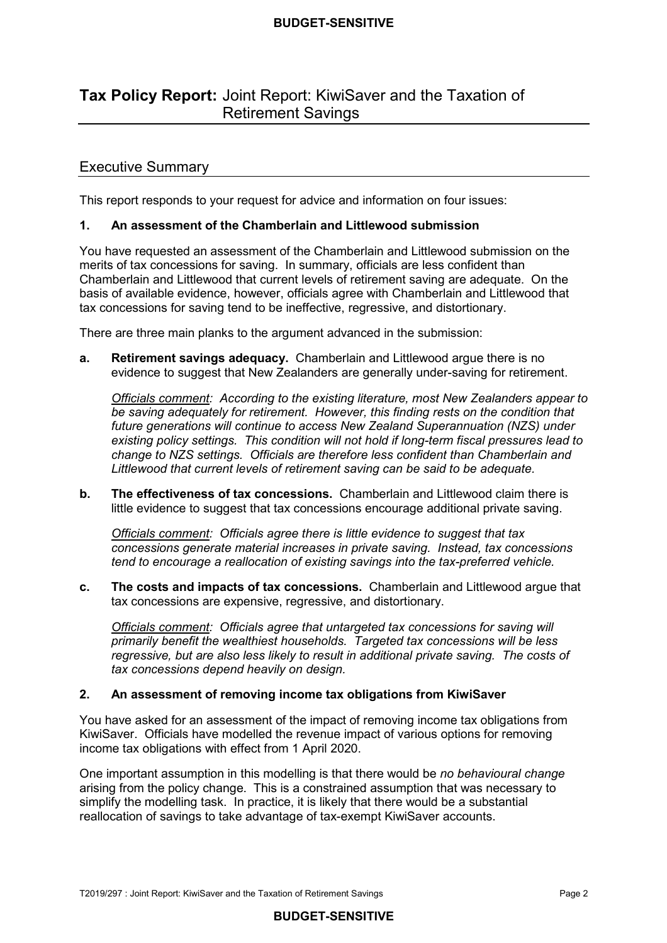# **Tax Policy Report:** Joint Report: KiwiSaver and the Taxation of Retirement Savings

## Executive Summary

This report responds to your request for advice and information on four issues:

#### $\mathbf{1}$ **1. An assessment of the Chamberlain and Littlewood submission**

 You have requested an assessment of the Chamberlain and Littlewood submission on the merits of tax concessions for saving. In summary, officials are less confident than Chamberlain and Littlewood that current levels of retirement saving are adequate. On the basis of available evidence, however, officials agree with Chamberlain and Littlewood that tax concessions for saving tend to be ineffective, regressive, and distortionary.

There are three main planks to the argument advanced in the submission:

 **a. Retirement savings adequacy.** Chamberlain and Littlewood argue there is no evidence to suggest that New Zealanders are generally under-saving for retirement.

*Officials comment:* According to the existing literature, most New Zealanders appear to  *existing policy settings. This condition will not hold if long-term fiscal pressures lead to be saving adequately for retirement. However, this finding rests on the condition that future generations will continue to access New Zealand Superannuation (NZS) under change to NZS settings. Officials are therefore less confident than Chamberlain and Littlewood that current levels of retirement saving can be said to be adequate.* 

 **b. The effectiveness of tax concessions.** Chamberlain and Littlewood claim there is little evidence to suggest that tax concessions encourage additional private saving.

 *Officials comment: Officials agree there is little evidence to suggest that tax concessions generate material increases in private saving. Instead, tax concessions tend to encourage a reallocation of existing savings into the tax-preferred vehicle.* 

 **c. The costs and impacts of tax concessions.** Chamberlain and Littlewood argue that tax concessions are expensive, regressive, and distortionary.

*Officials comment: Officials agree that untargeted tax concessions for saving will primarily benefit the wealthiest households. Targeted tax concessions will be less regressive, but are also less likely to result in additional private saving. The costs of tax concessions depend heavily on design.* 

#### **2. An assessment of removing income tax obligations from KiwiSaver**

 You have asked for an assessment of the impact of removing income tax obligations from KiwiSaver. Officials have modelled the revenue impact of various options for removing income tax obligations with effect from 1 April 2020.

 One important assumption in this modelling is that there would be *no behavioural change*  arising from the policy change. This is a constrained assumption that was necessary to simplify the modelling task. In practice, it is likely that there would be a substantial reallocation of savings to take advantage of tax-exempt KiwiSaver accounts.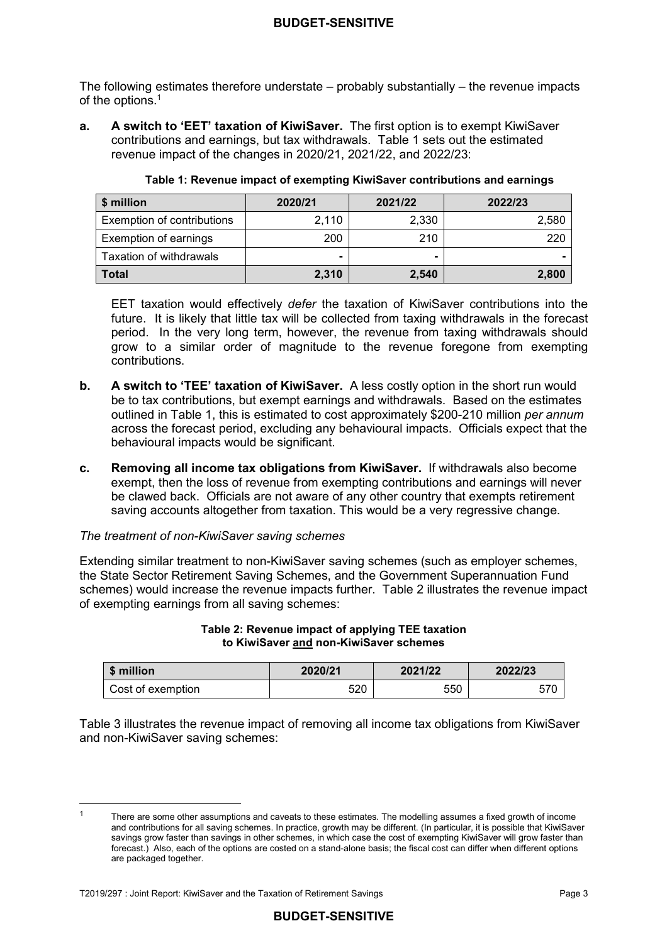The following estimates therefore understate – probably substantially – the revenue impacts of the options.<sup>1</sup>

 contributions and earnings, but tax withdrawals. Table 1 sets out the estimated revenue impact of the changes in 2020/21, 2021/22, and 2022/23: **a. A switch to 'EET' taxation of KiwiSaver.** The first option is to exempt KiwiSaver

| $\mid$ \$ million          | 2020/21 | 2021/22 | 2022/23 |
|----------------------------|---------|---------|---------|
| Exemption of contributions | 2.110   | 2.330   | 2,580   |
| Exemption of earnings      | 200     | 210     | 220     |
| Taxation of withdrawals    | -       |         |         |
| l Total                    | 2,310   | 2,540   | 2,800   |

|  |  | Table 1: Revenue impact of exempting KiwiSaver contributions and earnings |  |
|--|--|---------------------------------------------------------------------------|--|
|  |  |                                                                           |  |

 EET taxation would effectively *defer* the taxation of KiwiSaver contributions into the future. It is likely that little tax will be collected from taxing withdrawals in the forecast period. In the very long term, however, the revenue from taxing withdrawals should grow to a similar order of magnitude to the revenue foregone from exempting contributions.

- **.**  be to tax contributions, but exempt earnings and withdrawals. Based on the estimates outlined in Table 1, this is estimated to cost approximately \$200-210 million *per annum*  across the forecast period, excluding any behavioural impacts. Officials expect that the behavioural impacts would be significant. **b. A switch to 'TEE' taxation of KiwiSaver.** A less costly option in the short run would
- **c. Removing all income tax obligations from KiwiSaver.** If withdrawals also become exempt, then the loss of revenue from exempting contributions and earnings will never be clawed back. Officials are not aware of any other country that exempts retirement saving accounts altogether from taxation. This would be a very regressive change.

## *The treatment of non-KiwiSaver saving schemes*

 Extending similar treatment to non-KiwiSaver saving schemes (such as employer schemes, the State Sector Retirement Saving Schemes, and the Government Superannuation Fund schemes) would increase the revenue impacts further. Table 2 illustrates the revenue impact of exempting earnings from all saving schemes:

#### **Table 2: Revenue impact of applying TEE taxation to KiwiSaver and non-KiwiSaver schemes**

| \$ million        | 2020/21 | 2021/22 | 2022/23 |
|-------------------|---------|---------|---------|
| Cost of exemption | 520     | 550     | 570     |

 Table 3 illustrates the revenue impact of removing all income tax obligations from KiwiSaver and non-KiwiSaver saving schemes:

 There are some other assumptions and caveats to these estimates. The modelling assumes a fixed growth of income and contributions for all saving schemes. In practice, growth may be different. (In particular, it is possible that KiwiSaver savings grow faster than savings in other schemes, in which case the cost of exempting KiwiSaver will grow faster than forecast.) Also, each of the options are costed on a stand-alone basis; the fiscal cost can differ when different options are packaged together. 1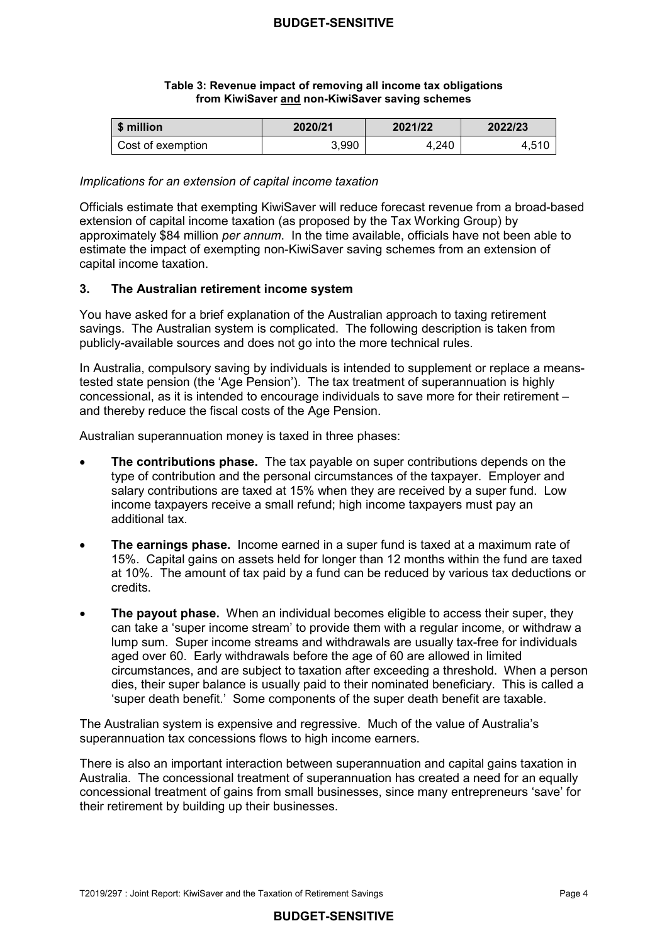#### **Table 3: Revenue impact of removing all income tax obligations from KiwiSaver and non-KiwiSaver saving schemes**

| \$ million        | 2020/21 | 2021/22 | 2022/23 |
|-------------------|---------|---------|---------|
| Cost of exemption | 3.990   | 4.240   | 4.510   |

#### *Implications for an extension of capital income taxation*

 Officials estimate that exempting KiwiSaver will reduce forecast revenue from a broad-based extension of capital income taxation (as proposed by the Tax Working Group) by approximately \$84 million *per annum*. In the time available, officials have not been able to estimate the impact of exempting non-KiwiSaver saving schemes from an extension of capital income taxation.

## **3. The Australian retirement income system**

 You have asked for a brief explanation of the Australian approach to taxing retirement savings. The Australian system is complicated. The following description is taken from publicly-available sources and does not go into the more technical rules.

 In Australia, compulsory saving by individuals is intended to supplement or replace a means- tested state pension (the 'Age Pension'). The tax treatment of superannuation is highly concessional, as it is intended to encourage individuals to save more for their retirement – and thereby reduce the fiscal costs of the Age Pension.

Australian superannuation money is taxed in three phases:

- **The contributions phase.** The tax payable on super contributions depends on the type of contribution and the personal circumstances of the taxpayer. Employer and salary contributions are taxed at 15% when they are received by a super fund. Low income taxpayers receive a small refund; high income taxpayers must pay an additional tax.
- **The earnings phase.** Income earned in a super fund is taxed at a maximum rate of 15%. Capital gains on assets held for longer than 12 months within the fund are taxed at 10%. The amount of tax paid by a fund can be reduced by various tax deductions or credits.
- **The payout phase.** When an individual becomes eligible to access their super, they can take a 'super income stream' to provide them with a regular income, or withdraw a lump sum. Super income streams and withdrawals are usually tax-free for individuals aged over 60. Early withdrawals before the age of 60 are allowed in limited circumstances, and are subject to taxation after exceeding a threshold. When a person dies, their super balance is usually paid to their nominated beneficiary. This is called a 'super death benefit.' Some components of the super death benefit are taxable.

 The Australian system is expensive and regressive. Much of the value of Australia's superannuation tax concessions flows to high income earners.

 There is also an important interaction between superannuation and capital gains taxation in Australia. The concessional treatment of superannuation has created a need for an equally concessional treatment of gains from small businesses, since many entrepreneurs 'save' for their retirement by building up their businesses.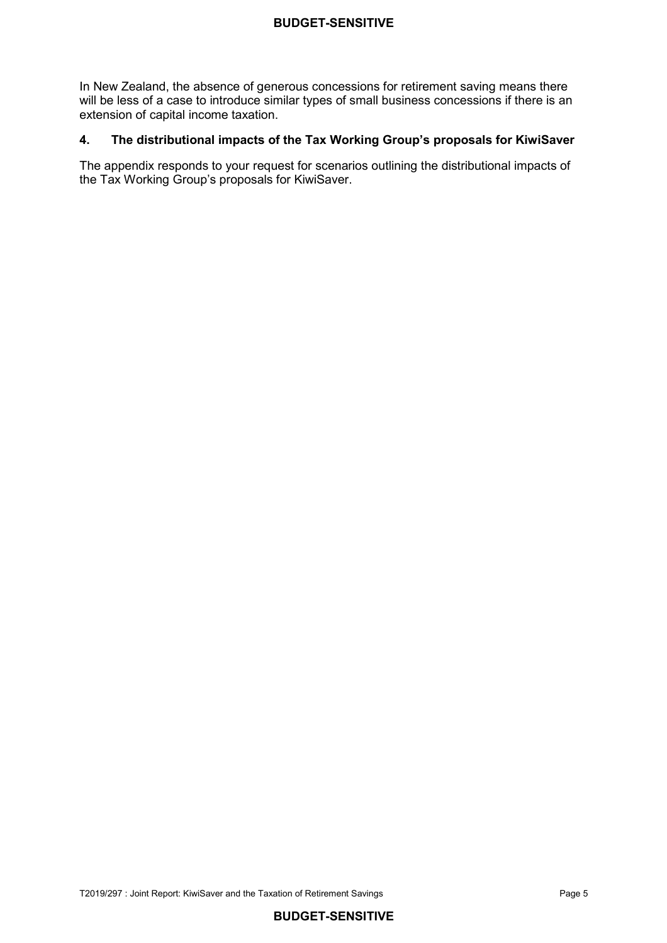In New Zealand, the absence of generous concessions for retirement saving means there will be less of a case to introduce similar types of small business concessions if there is an extension of capital income taxation.

### **4. The distributional impacts of the Tax Working Group's proposals for KiwiSaver**

 The appendix responds to your request for scenarios outlining the distributional impacts of the Tax Working Group's proposals for KiwiSaver.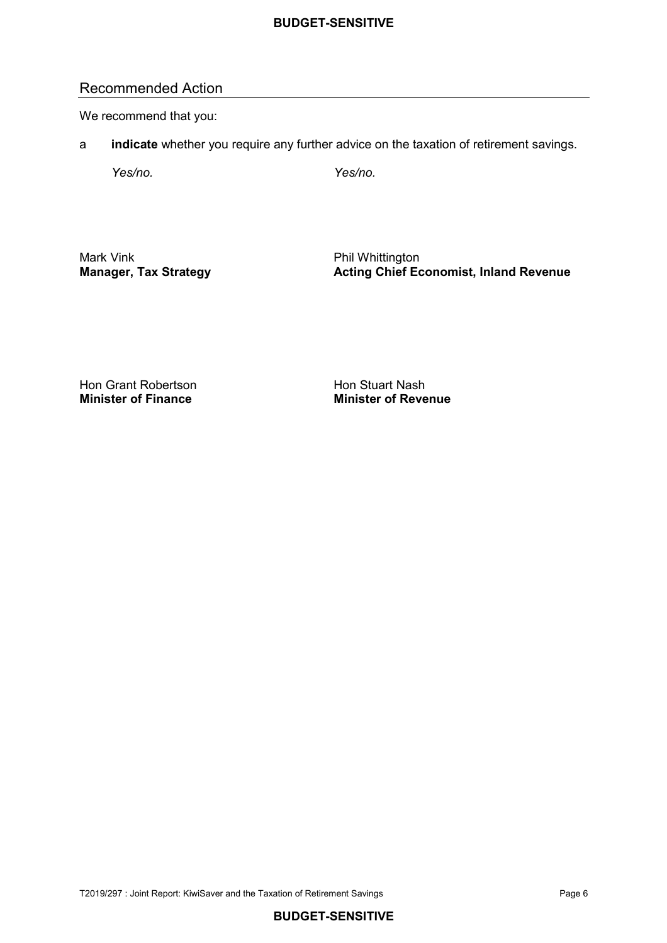## Recommended Action

We recommend that you:

a **indicate** whether you require any further advice on the taxation of retirement savings.

 *Yes/no. Yes/no.* 

Mark Vink

Phil Whittington **Manager, Tax Strategy Acting Chief Economist, Inland Revenue** 

Hon Grant Robertson **Hon Stuart Nash Minister of Finance** 

**Minister of Finance Minister of Revenue**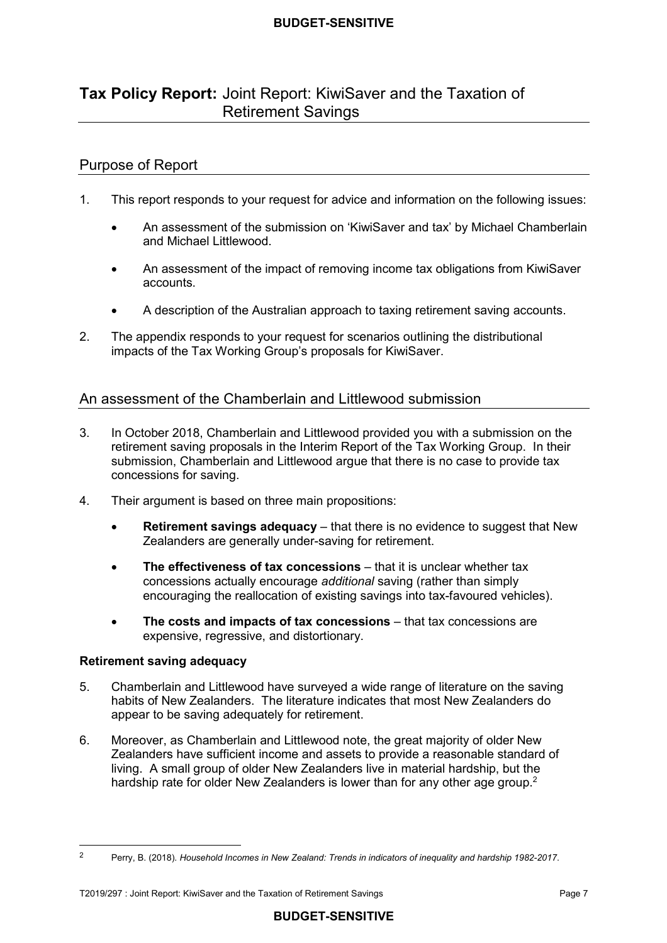# **Tax Policy Report:** Joint Report: KiwiSaver and the Taxation of Retirement Savings

## Purpose of Report

- $1<sup>1</sup>$ This report responds to your request for advice and information on the following issues:
	- and Michael Littlewood. • An assessment of the submission on 'KiwiSaver and tax' by Michael Chamberlain
	- An assessment of the impact of removing income tax obligations from KiwiSaver accounts.
	- A description of the Australian approach to taxing retirement saving accounts.
- $2.$  impacts of the Tax Working Group's proposals for KiwiSaver. The appendix responds to your request for scenarios outlining the distributional

## An assessment of the Chamberlain and Littlewood submission

- 3. In October 2018, Chamberlain and Littlewood provided you with a submission on the retirement saving proposals in the Interim Report of the Tax Working Group. In their submission, Chamberlain and Littlewood argue that there is no case to provide tax concessions for saving.
- $\overline{4}$ Their argument is based on three main propositions:
	- • **Retirement savings adequacy** that there is no evidence to suggest that New Zealanders are generally under-saving for retirement.
	- **The effectiveness of tax concessions** that it is unclear whether tax concessions actually encourage *additional* saving (rather than simply encouraging the reallocation of existing savings into tax-favoured vehicles).
	- **The costs and impacts of tax concessions**  that tax concessions are expensive, regressive, and distortionary.

#### **Retirement saving adequacy**

- 5. Chamberlain and Littlewood have surveyed a wide range of literature on the saving habits of New Zealanders. The literature indicates that most New Zealanders do appear to be saving adequately for retirement.
- 6. Moreover, as Chamberlain and Littlewood note, the great majority of older New Zealanders have sufficient income and assets to provide a reasonable standard of living. A small group of older New Zealanders live in material hardship, but the hardship rate for older New Zealanders is lower than for any other age group.<sup>2</sup>

 2Perry, B. (2018). *Household Incomes in New Zealand: Trends in indicators of inequality and hardship 1982-2017*.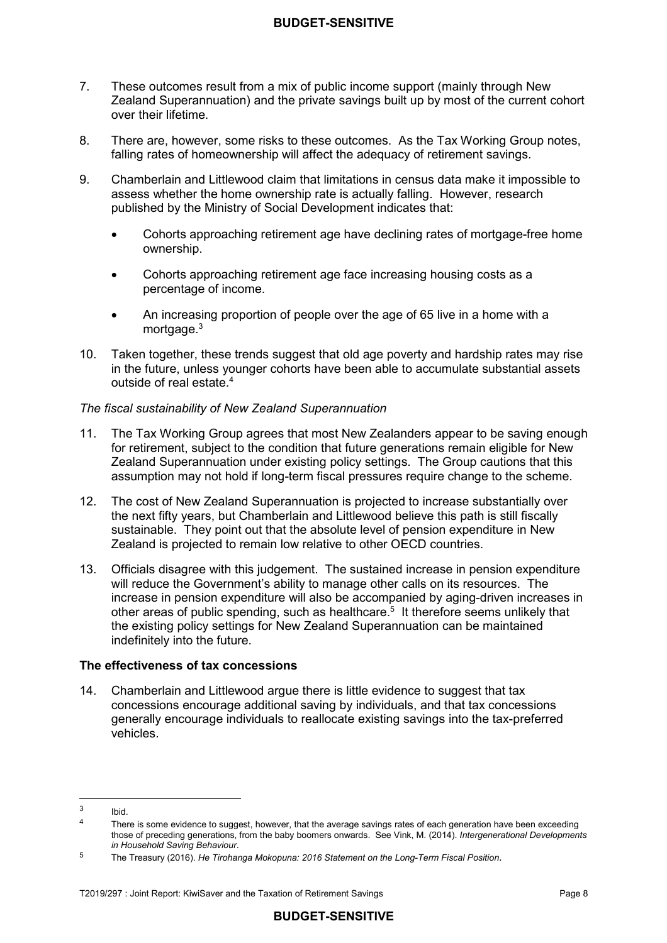- $7<sub>1</sub>$  Zealand Superannuation) and the private savings built up by most of the current cohort over their lifetime. These outcomes result from a mix of public income support (mainly through New
- 8. falling rates of homeownership will affect the adequacy of retirement savings. There are, however, some risks to these outcomes. As the Tax Working Group notes,
- 9. Chamberlain and Littlewood claim that limitations in census data make it impossible to assess whether the home ownership rate is actually falling. However, research published by the Ministry of Social Development indicates that:
	- • Cohorts approaching retirement age have declining rates of mortgage-free home ownership.
	- • Cohorts approaching retirement age face increasing housing costs as a percentage of income.
	- • An increasing proportion of people over the age of 65 live in a home with a mortgage.<sup>3</sup>
- $10<sup>1</sup>$  in the future, unless younger cohorts have been able to accumulate substantial assets outside of real estate.<sup>4</sup> Taken together, these trends suggest that old age poverty and hardship rates may rise

#### *The fiscal sustainability of New Zealand Superannuation*

- $11.$  for retirement, subject to the condition that future generations remain eligible for New Zealand Superannuation under existing policy settings. The Group cautions that this assumption may not hold if long-term fiscal pressures require change to the scheme. The Tax Working Group agrees that most New Zealanders appear to be saving enough
- $12.$  the next fifty years, but Chamberlain and Littlewood believe this path is still fiscally sustainable. They point out that the absolute level of pension expenditure in New Zealand is projected to remain low relative to other OECD countries. The cost of New Zealand Superannuation is projected to increase substantially over
- $13.$  will reduce the Government's ability to manage other calls on its resources. The increase in pension expenditure will also be accompanied by aging-driven increases in other areas of public spending, such as healthcare.<sup>5</sup> It therefore seems unlikely that the existing policy settings for New Zealand Superannuation can be maintained indefinitely into the future. Officials disagree with this judgement. The sustained increase in pension expenditure

## **The effectiveness of tax concessions**

 14. Chamberlain and Littlewood argue there is little evidence to suggest that tax concessions encourage additional saving by individuals, and that tax concessions generally encourage individuals to reallocate existing savings into the tax-preferred vehicles.

 $\overline{\mathbf{a}}$ <sup>3</sup> Ibid.

 $4$  There is some evidence to suggest, however, that the average savings rates of each generation have been exceeding those of preceding generations, from the baby boomers onwards. See Vink, M. (2014). *Intergenerational Developments in Household Saving Behaviour*.

 $\overline{5}$ <sup>5</sup> The Treasury (2016). *He Tirohanga Mokopuna: 2016 Statement on the Long-Term Fiscal Position.*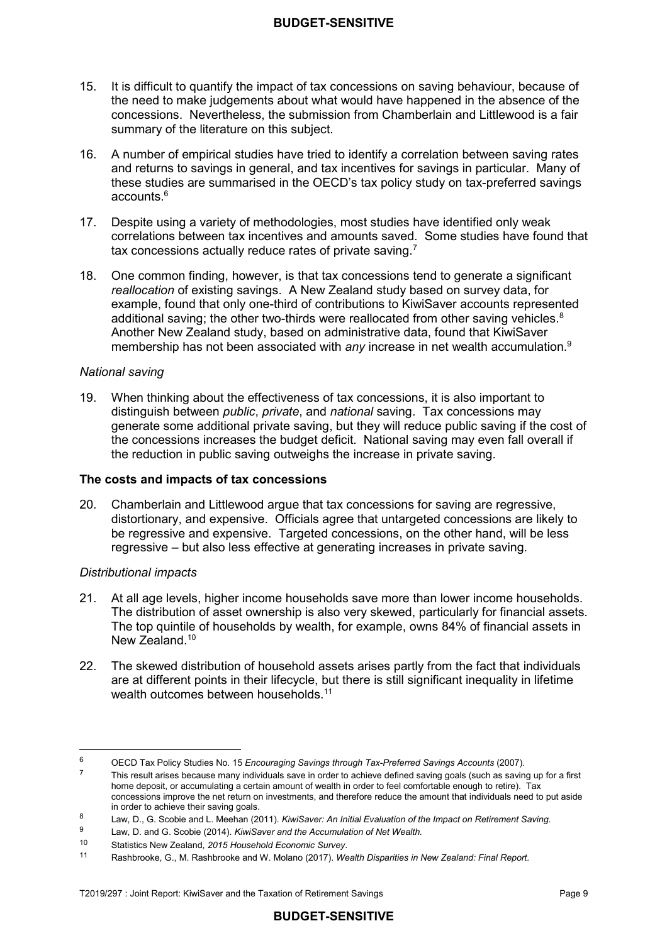- $15.$  the need to make judgements about what would have happened in the absence of the concessions. Nevertheless, the submission from Chamberlain and Littlewood is a fair summary of the literature on this subject. It is difficult to quantify the impact of tax concessions on saving behaviour, because of
- 16. A number of empirical studies have tried to identify a correlation between saving rates and returns to savings in general, and tax incentives for savings in particular. Many of these studies are summarised in the OECD's tax policy study on tax-preferred savings accounts.6
- $17.$  correlations between tax incentives and amounts saved. Some studies have found that tax concessions actually reduce rates of private saving.<sup>7</sup> 17. Despite using a variety of methodologies, most studies have identified only weak
- 18. One common finding, however, is that tax concessions tend to generate a significant *reallocation* of existing savings. A New Zealand study based on survey data, for example, found that only one-third of contributions to KiwiSaver accounts represented additional saving; the other two-thirds were reallocated from other saving vehicles.<sup>8</sup> Another New Zealand study, based on administrative data, found that KiwiSaver membership has not been associated with *any* increase in net wealth accumulation.9

#### *National saving*

19. distinguish between *public*, *private*, and *national* saving. Tax concessions may generate some additional private saving, but they will reduce public saving if the cost of the concessions increases the budget deficit. National saving may even fall overall if the reduction in public saving outweighs the increase in private saving. 19. When thinking about the effectiveness of tax concessions, it is also important to

#### **The costs and impacts of tax concessions**

 20. Chamberlain and Littlewood argue that tax concessions for saving are regressive, distortionary, and expensive. Officials agree that untargeted concessions are likely to be regressive and expensive. Targeted concessions, on the other hand, will be less regressive – but also less effective at generating increases in private saving.

## *Distributional impacts*

- $21$  The distribution of asset ownership is also very skewed, particularly for financial assets. The top quintile of households by wealth, for example, owns 84% of financial assets in New Zealand.<sup>10</sup> At all age levels, higher income households save more than lower income households.
- $22.$  are at different points in their lifecycle, but there is still significant inequality in lifetime wealth outcomes between households.<sup>11</sup> 22. The skewed distribution of household assets arises partly from the fact that individuals

## **BUDGET-SENSITIVE**

 $6\phantom{a}$ <sup>6</sup> OECD Tax Policy Studies No. 15 *Encouraging Savings through Tax-Preferred Savings Accounts* (2007).

 home deposit, or accumulating a certain amount of wealth in order to feel comfortable enough to retire). Tax concessions improve the net return on investments, and therefore reduce the amount that individuals need to put aside in order to achieve their saving goals.  $7$  This result arises because many individuals save in order to achieve defined saving goals (such as saving up for a first

 $\mathbf{a}$ <sup>8</sup> Law, D., G. Scobie and L. Meehan (2011). *KiwiSaver: An Initial Evaluation of the Impact on Retirement Saving*.

 $\overline{9}$ <sup>9</sup> Law, D. and G. Scobie (2014). *KiwiSaver and the Accumulation of Net Wealth.* 

 $10<sup>1</sup>$ <sup>10</sup> Statistics New Zealand, *2015 Household Economic Survey*.

 $11$ <sup>11</sup> Rashbrooke, G., M. Rashbrooke and W. Molano (2017). *Wealth Disparities in New Zealand: Final Report.*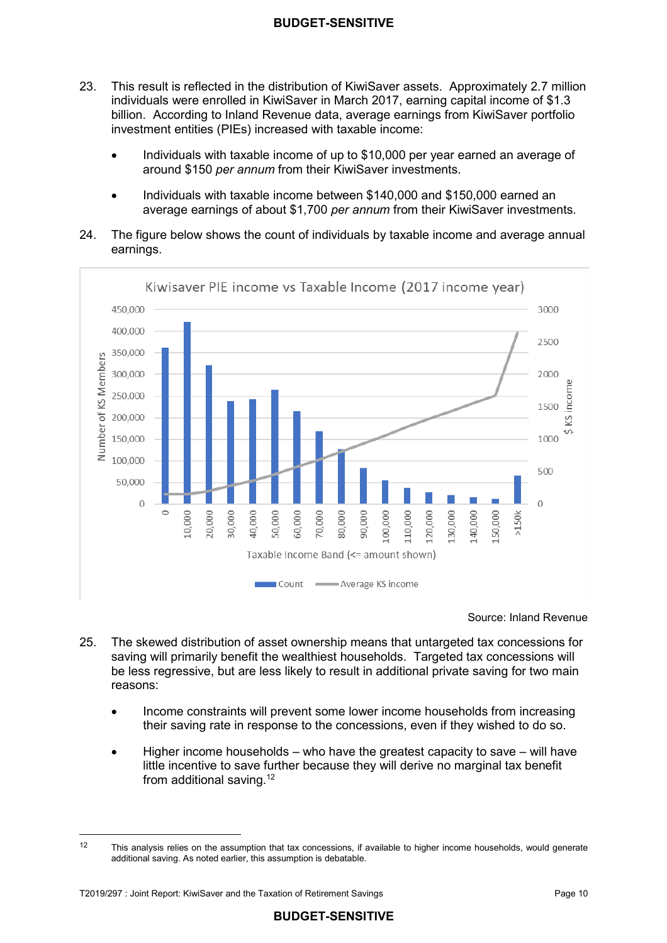- 23 individuals were enrolled in KiwiSaver in March 2017, earning capital income of \$1.3 billion. According to Inland Revenue data, average earnings from KiwiSaver portfolio investment entities (PIEs) increased with taxable income: 23. This result is reflected in the distribution of KiwiSaver assets. Approximately 2.7 million
	- • Individuals with taxable income of up to \$10,000 per year earned an average of around \$150 *per annum* from their KiwiSaver investments.
	- • Individuals with taxable income between \$140,000 and \$150,000 earned an average earnings of about \$1,700 *per annum* from their KiwiSaver investments.
- 24. The figure below shows the count of individuals by taxable income and average annual earnings.



 Source: Inland Revenue

- 25 saving will primarily benefit the wealthiest households. Targeted tax concessions will be less regressive, but are less likely to result in additional private saving for two main The skewed distribution of asset ownership means that untargeted tax concessions for reasons:
	- • Income constraints will prevent some lower income households from increasing their saving rate in response to the concessions, even if they wished to do so.
	- little incentive to save further because they will derive no marginal tax benefit from additional saving. $^{12}$ • Higher income households – who have the greatest capacity to save – will have

 additional saving. As noted earlier, this assumption is debatable. This analysis relies on the assumption that tax concessions, if available to higher income households, would generate 12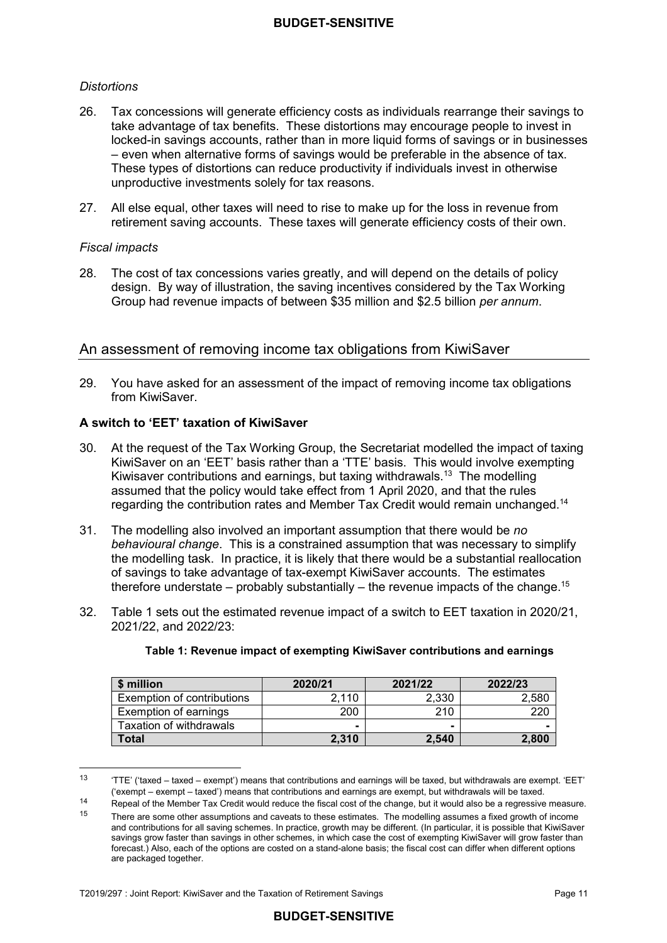## *Distortions*

- 26. take advantage of tax benefits. These distortions may encourage people to invest in locked-in savings accounts, rather than in more liquid forms of savings or in businesses – even when alternative forms of savings would be preferable in the absence of tax. These types of distortions can reduce productivity if individuals invest in otherwise unproductive investments solely for tax reasons. 26. Tax concessions will generate efficiency costs as individuals rearrange their savings to
- 27. All else equal, other taxes will need to rise to make up for the loss in revenue from retirement saving accounts. These taxes will generate efficiency costs of their own.

#### *Fiscal impacts*

 $\overline{a}$ 

28. design. By way of illustration, the saving incentives considered by the Tax Working Group had revenue impacts of between \$35 million and \$2.5 billion *per annum*. The cost of tax concessions varies greatly, and will depend on the details of policy

## An assessment of removing income tax obligations from KiwiSaver

 29. You have asked for an assessment of the impact of removing income tax obligations from KiwiSaver.

### **A switch to 'EET' taxation of KiwiSaver**

- $30.$  KiwiSaver on an 'EET' basis rather than a 'TTE' basis. This would involve exempting Kiwisaver contributions and earnings, but taxing withdrawals.<sup>13</sup> The modelling assumed that the policy would take effect from 1 April 2020, and that the rules regarding the contribution rates and Member Tax Credit would remain unchanged.<sup>14</sup> At the request of the Tax Working Group, the Secretariat modelled the impact of taxing
- $31.$  *behavioural change*. This is a constrained assumption that was necessary to simplify the modelling task. In practice, it is likely that there would be a substantial reallocation of savings to take advantage of tax-exempt KiwiSaver accounts. The estimates therefore understate – probably substantially – the revenue impacts of the change.<sup>15</sup> 31. The modelling also involved an important assumption that there would be *no*
- $32.$ Table 1 sets out the estimated revenue impact of a switch to EET taxation in 2020/21, 2021/22, and 2022/23:

| \$ million                 | 2020/21                  | 2021/22 | 2022/23 |
|----------------------------|--------------------------|---------|---------|
| Exemption of contributions | 2.110                    | 2.330   | 2,580   |
| Exemption of earnings      | 200                      | 210     | 220     |
| Taxation of withdrawals    | $\overline{\phantom{a}}$ |         |         |
| Total                      | 2,310                    | 2,540   | 2.800   |

#### **Table 1: Revenue impact of exempting KiwiSaver contributions and earnings**

 $13$  ('exempt – exempt – taxed') means that contributions and earnings are exempt, but withdrawals will be taxed. <sup>13</sup> 'TTE' ('taxed – taxed – exempt') means that contributions and earnings will be taxed, but withdrawals are exempt. 'EET'

 $\frac{14}{15}$ Repeal of the Member Tax Credit would reduce the fiscal cost of the change, but it would also be a regressive measure.

 $15$  There are some other assumptions and caveats to these estimates. The modelling assumes a fixed growth of income and contributions for all saving schemes. In practice, growth may be different. (In particular, it is possible that KiwiSaver savings grow faster than savings in other schemes, in which case the cost of exempting KiwiSaver will grow faster than forecast.) Also, each of the options are costed on a stand-alone basis; the fiscal cost can differ when different options are packaged together.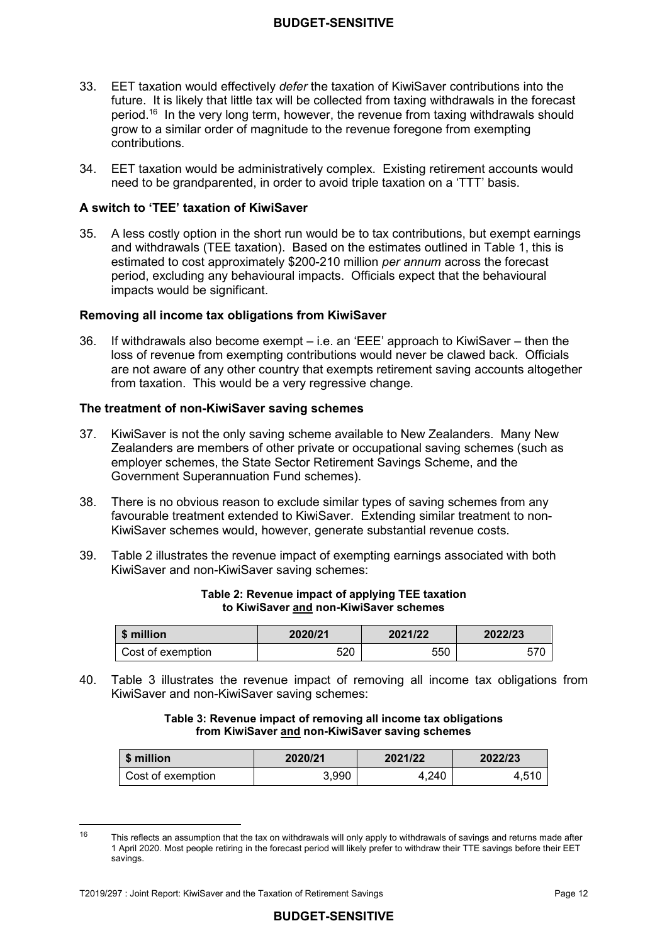- 33. EET taxation would effectively *defer* the taxation of KiwiSaver contributions into the future. It is likely that little tax will be collected from taxing withdrawals in the forecast period.<sup>16</sup> In the very long term, however, the revenue from taxing withdrawals should grow to a similar order of magnitude to the revenue foregone from exempting contributions.
- 34. EET taxation would be administratively complex. Existing retirement accounts would need to be grandparented, in order to avoid triple taxation on a 'TTT' basis.

#### **A switch to 'TEE' taxation of KiwiSaver**

 $35<sub>1</sub>$  and withdrawals (TEE taxation). Based on the estimates outlined in Table 1, this is estimated to cost approximately \$200-210 million *per annum* across the forecast period, excluding any behavioural impacts. Officials expect that the behavioural A less costly option in the short run would be to tax contributions, but exempt earnings impacts would be significant.

#### **Removing all income tax obligations from KiwiSaver**

36 loss of revenue from exempting contributions would never be clawed back. Officials are not aware of any other country that exempts retirement saving accounts altogether from taxation. This would be a very regressive change. If withdrawals also become exempt  $-$  i.e. an 'EEE' approach to KiwiSaver  $-$  then the

#### **The treatment of non-KiwiSaver saving schemes**

- 37. KiwiSaver is not the only saving scheme available to New Zealanders. Many New Zealanders are members of other private or occupational saving schemes (such as employer schemes, the State Sector Retirement Savings Scheme, and the Government Superannuation Fund schemes).
- 38. favourable treatment extended to KiwiSaver. Extending similar treatment to non- KiwiSaver schemes would, however, generate substantial revenue costs. There is no obvious reason to exclude similar types of saving schemes from any
- 39. KiwiSaver and non-KiwiSaver saving schemes: Table 2 illustrates the revenue impact of exempting earnings associated with both

| \$ million        | 2020/21 | 2021/22 | 2022/23 |
|-------------------|---------|---------|---------|
| Cost of exemption | 520     | 550     |         |

#### **Table 2: Revenue impact of applying TEE taxation to KiwiSaver and non-KiwiSaver schemes**

40. KiwiSaver and non-KiwiSaver saving schemes: Table 3 illustrates the revenue impact of removing all income tax obligations from

> **Table 3: Revenue impact of removing all income tax obligations from KiwiSaver and non-KiwiSaver saving schemes**

| \$ million        | 2020/21 | 2021/22 | 2022/23 |
|-------------------|---------|---------|---------|
| Cost of exemption | 3.990   | 4.240   | 4.510   |

 16 1 April 2020. Most people retiring in the forecast period will likely prefer to withdraw their TTE savings before their EET This reflects an assumption that the tax on withdrawals will only apply to withdrawals of savings and returns made after savings.

 T2019/297 : Joint Report: KiwiSaver and the Taxation of Retirement Savings Page 12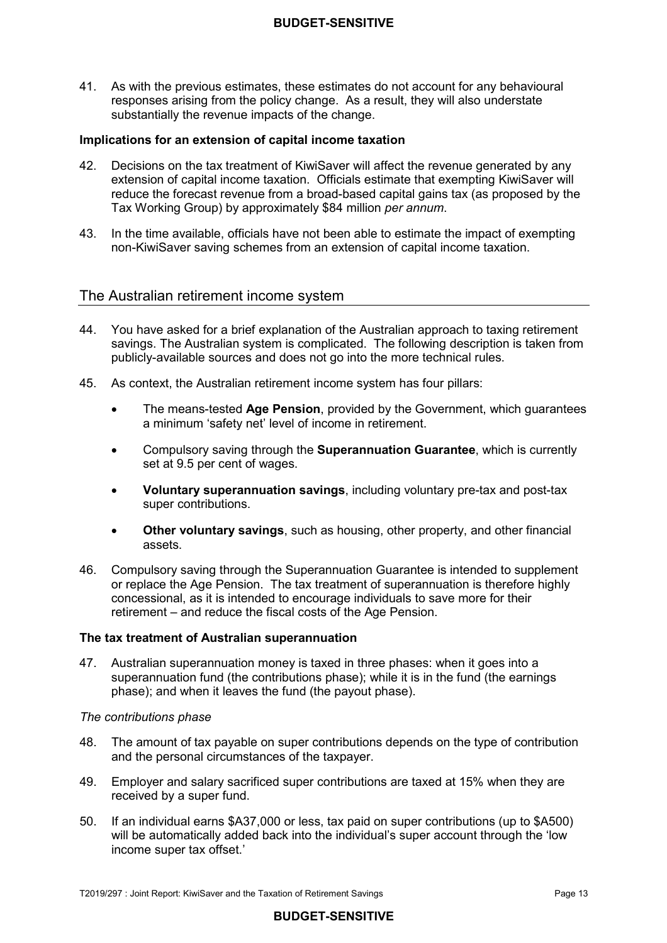41. As with the previous estimates, these estimates do not account for any behavioural responses arising from the policy change. As a result, they will also understate substantially the revenue impacts of the change.

#### **Implications for an extension of capital income taxation**

- 42. Decisions on the tax treatment of KiwiSaver will affect the revenue generated by any extension of capital income taxation. Officials estimate that exempting KiwiSaver will reduce the forecast revenue from a broad-based capital gains tax (as proposed by the Tax Working Group) by approximately \$84 million *per annum*.
- 43. In the time available, officials have not been able to estimate the impact of exempting non-KiwiSaver saving schemes from an extension of capital income taxation.

## The Australian retirement income system

- 44. You have asked for a brief explanation of the Australian approach to taxing retirement savings. The Australian system is complicated. The following description is taken from publicly-available sources and does not go into the more technical rules.
- 45. As context, the Australian retirement income system has four pillars:
	- $\bullet$  a minimum 'safety net' level of income in retirement. • The means-tested **Age Pension**, provided by the Government, which guarantees
	- • Compulsory saving through the **Superannuation Guarantee**, which is currently set at 9.5 per cent of wages.
	- • **Voluntary superannuation savings**, including voluntary pre-tax and post-tax super contributions.
	- **Other voluntary savings**, such as housing, other property, and other financial assets.
- 46. Compulsory saving through the Superannuation Guarantee is intended to supplement or replace the Age Pension. The tax treatment of superannuation is therefore highly concessional, as it is intended to encourage individuals to save more for their retirement – and reduce the fiscal costs of the Age Pension.

#### **The tax treatment of Australian superannuation**

 47. Australian superannuation money is taxed in three phases: when it goes into a superannuation fund (the contributions phase); while it is in the fund (the earnings phase); and when it leaves the fund (the payout phase).

#### *The contributions phase*

- 48. and the personal circumstances of the taxpayer. The amount of tax payable on super contributions depends on the type of contribution
- 49. Employer and salary sacrificed super contributions are taxed at 15% when they are received by a super fund.
- $50 -$  will be automatically added back into the individual's super account through the 'low income super tax offset.' If an individual earns \$A37,000 or less, tax paid on super contributions (up to \$A500)

#### **BUDGET-SENSITIVE**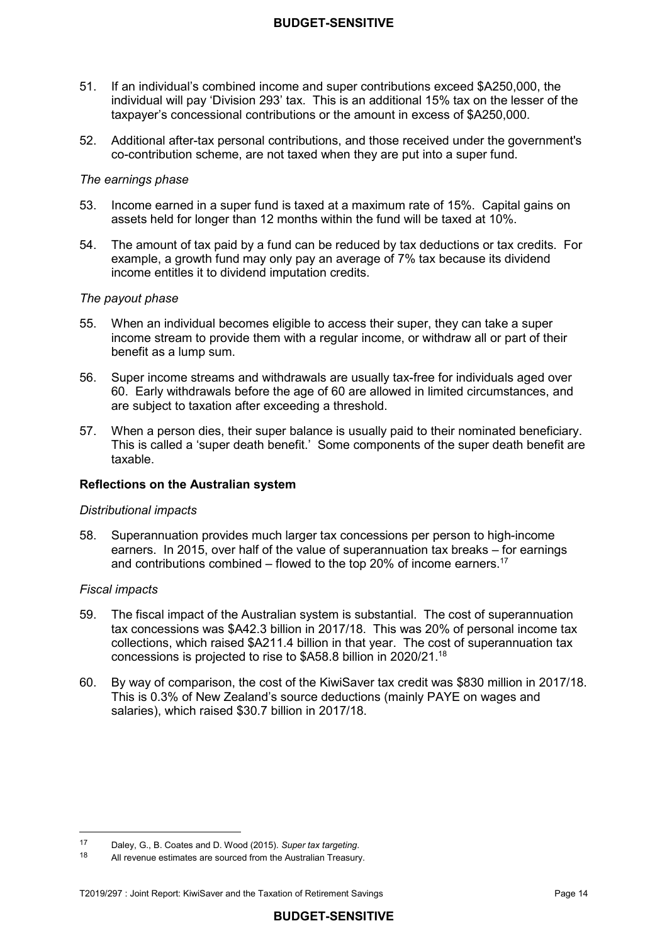- $51.$  individual will pay 'Division 293' tax. This is an additional 15% tax on the lesser of the taxpayer's concessional contributions or the amount in excess of \$A250,000. If an individual's combined income and super contributions exceed \$A250,000, the
- 52. Additional after-tax personal contributions, and those received under the government's co-contribution scheme, are not taxed when they are put into a super fund.

#### *The earnings phase*

- 53 assets held for longer than 12 months within the fund will be taxed at 10%. Income earned in a super fund is taxed at a maximum rate of 15%. Capital gains on
- $54.$  example, a growth fund may only pay an average of 7% tax because its dividend income entitles it to dividend imputation credits. The amount of tax paid by a fund can be reduced by tax deductions or tax credits. For

#### *The payout phase*

- 55. income stream to provide them with a regular income, or withdraw all or part of their benefit as a lump sum. 55. When an individual becomes eligible to access their super, they can take a super
- 56. 60. Early withdrawals before the age of 60 are allowed in limited circumstances, and are subject to taxation after exceeding a threshold. Super income streams and withdrawals are usually tax-free for individuals aged over
- 57. This is called a 'super death benefit.' Some components of the super death benefit are taxable. When a person dies, their super balance is usually paid to their nominated beneficiary.

#### **Reflections on the Australian system**

#### *Distributional impacts*

 58. Superannuation provides much larger tax concessions per person to high-income earners. In 2015, over half of the value of superannuation tax breaks – for earnings and contributions combined – flowed to the top 20% of income earners.<sup>17</sup>

#### *Fiscal impacts*

- 59. tax concessions was \$A42.3 billion in 2017/18. This was 20% of personal income tax collections, which raised \$A211.4 billion in that year. The cost of superannuation tax concessions is projected to rise to \$A58.8 billion in [2020/21.18](https://2020/21.18) The fiscal impact of the Australian system is substantial. The cost of superannuation
- 60 This is 0.3% of New Zealand's source deductions (mainly PAYE on wages and salaries), which raised \$30.7 billion in 2017/18. 60. By way of comparison, the cost of the KiwiSaver tax credit was \$830 million in 2017/18.

 $17$ <sup>17</sup> Daley, G., B. Coates and D. Wood (2015). *Super tax targeting*.

<sup>18</sup> All revenue estimates are sourced from the Australian Treasury.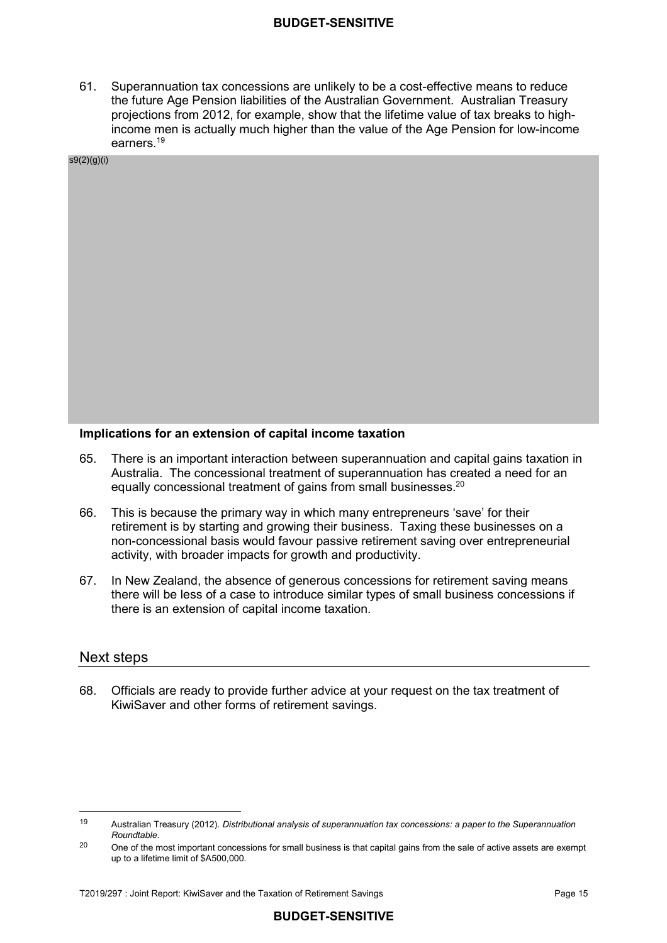61. Superannuation tax concessions are unlikely to be a cost-effective means to reduce the future Age Pension liabilities of the Australian Government. Australian Treasury projections from 2012, for example, show that the lifetime value of tax breaks to high- income men is actually much higher than the value of the Age Pension for low-income [earners.19](https://earners.19)

s9(2)(g)(i)

#### **Implications for an extension of capital income taxation**

- 65. Australia. The concessional treatment of superannuation has created a need for an equally concessional treatment of gains from small businesses.<sup>20</sup> There is an important interaction between superannuation and capital gains taxation in
- 66. retirement is by starting and growing their business. Taxing these businesses on a non-concessional basis would favour passive retirement saving over entrepreneurial activity, with broader impacts for growth and productivity. This is because the primary way in which many entrepreneurs 'save' for their
- 67. there will be less of a case to introduce similar types of small business concessions if there is an extension of capital income taxation. In New Zealand, the absence of generous concessions for retirement saving means

#### Next steps

 $\overline{a}$ 

68. KiwiSaver and other forms of retirement savings. 68. Officials are ready to provide further advice at your request on the tax treatment of

<sup>19</sup> Australian Treasury (2012). *Distributional analysis of superannuation tax concessions: a paper to the Superannuation Roundtable*.

 up to a lifetime limit of \$A500,000. <sup>20</sup> One of the most important concessions for small business is that capital gains from the sale of active assets are exempt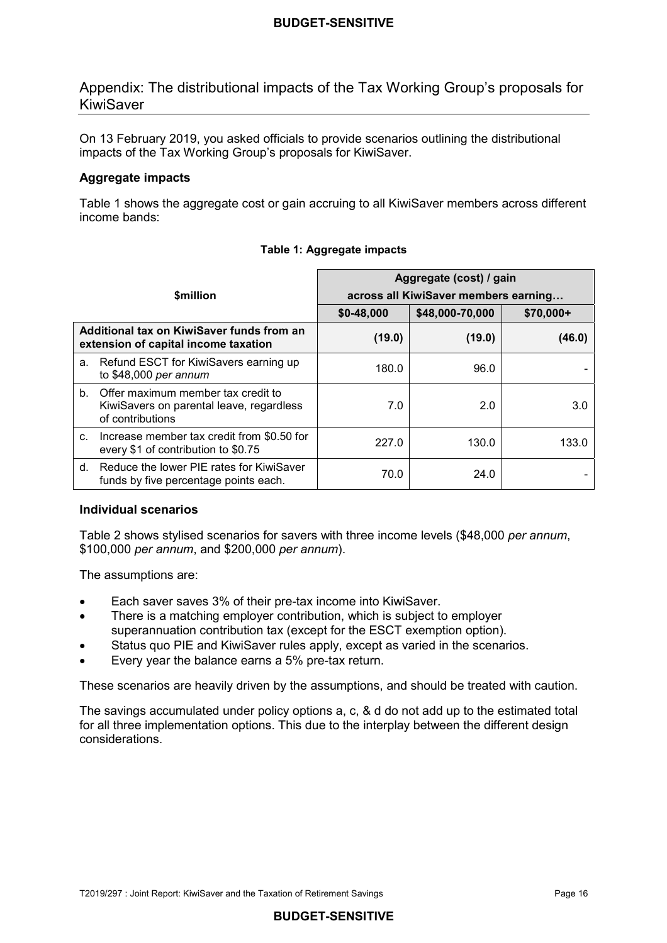Appendix: The distributional impacts of the Tax Working Group's proposals for KiwiSaver

 On 13 February 2019, you asked officials to provide scenarios outlining the distributional impacts of the Tax Working Group's proposals for KiwiSaver.

## **Aggregate impacts**

 Table 1 shows the aggregate cost or gain accruing to all KiwiSaver members across different income bands:

|                                                                                   |                                                                                                       | Aggregate (cost) / gain              |                 |            |  |
|-----------------------------------------------------------------------------------|-------------------------------------------------------------------------------------------------------|--------------------------------------|-----------------|------------|--|
|                                                                                   | <b><i><u>Smillion</u></i></b>                                                                         | across all KiwiSaver members earning |                 |            |  |
|                                                                                   |                                                                                                       | \$0-48,000                           | \$48,000-70,000 | $$70,000+$ |  |
| Additional tax on KiwiSaver funds from an<br>extension of capital income taxation |                                                                                                       | (19.0)                               | (19.0)          | (46.0)     |  |
|                                                                                   | a. Refund ESCT for KiwiSavers earning up<br>to \$48,000 per annum                                     | 180.0                                | 96.0            |            |  |
|                                                                                   | b. Offer maximum member tax credit to<br>KiwiSavers on parental leave, regardless<br>of contributions | 7.0                                  | 2.0             | 3.0        |  |
| $C_{\cdot}$                                                                       | Increase member tax credit from \$0.50 for<br>every \$1 of contribution to \$0.75                     | 227.0                                | 130.0           | 133.0      |  |
| d.                                                                                | Reduce the lower PIE rates for KiwiSaver<br>funds by five percentage points each.                     | 70.0                                 | 24.0            |            |  |

## **Table 1: Aggregate impacts**

## **Individual scenarios**

 Table 2 shows stylised scenarios for savers with three income levels (\$48,000 *per annum*, \$100,000 *per annum*, and \$200,000 *per annum*).

The assumptions are:

- Each saver saves 3% of their pre-tax income into KiwiSaver.
- superannuation contribution tax (except for the ESCT exemption option). • There is a matching employer contribution, which is subject to employer
- Status quo PIE and KiwiSaver rules apply, except as varied in the scenarios.
- Every year the balance earns a 5% pre-tax return.

These scenarios are heavily driven by the assumptions, and should be treated with caution.

 The savings accumulated under policy options a, c, & d do not add up to the estimated total for all three implementation options. This due to the interplay between the different design considerations.

## **BUDGET-SENSITIVE**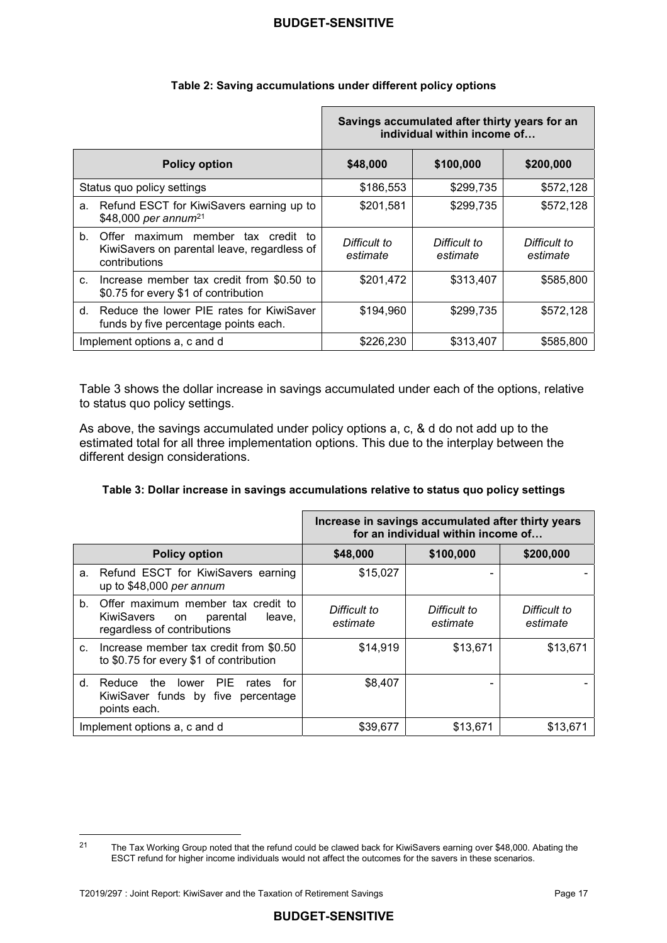|             |                                                                                                       | Savings accumulated after thirty years for an<br>individual within income of |                          |                          |
|-------------|-------------------------------------------------------------------------------------------------------|------------------------------------------------------------------------------|--------------------------|--------------------------|
|             | <b>Policy option</b>                                                                                  | \$48,000                                                                     | \$100,000                | \$200,000                |
|             | Status quo policy settings                                                                            | \$186,553                                                                    | \$299,735                | \$572,128                |
| a.          | Refund ESCT for KiwiSavers earning up to<br>\$48,000 per annum <sup>21</sup>                          | \$201,581                                                                    | \$299,735                | \$572,128                |
| $b_{-}$     | Offer maximum<br>member tax credit to<br>KiwiSavers on parental leave, regardless of<br>contributions | Difficult to<br>estimate                                                     | Difficult to<br>estimate | Difficult to<br>estimate |
| $C_{\cdot}$ | Increase member tax credit from \$0.50 to<br>\$0.75 for every \$1 of contribution                     | \$201,472                                                                    | \$313,407                | \$585,800                |
| d.          | Reduce the lower PIE rates for KiwiSaver<br>funds by five percentage points each.                     | \$194,960                                                                    | \$299,735                | \$572,128                |
|             | Implement options a, c and d                                                                          | \$226,230                                                                    | \$313,407                | \$585,800                |

#### **Table 2: Saving accumulations under different policy options**

 Table 3 shows the dollar increase in savings accumulated under each of the options, relative to status quo policy settings.

 As above, the savings accumulated under policy options a, c, & d do not add up to the estimated total for all three implementation options. This due to the interplay between the different design considerations.

#### **Table 3: Dollar increase in savings accumulations relative to status quo policy settings**

|    |                                                                                                                    | Increase in savings accumulated after thirty years<br>for an individual within income of |                          |                          |
|----|--------------------------------------------------------------------------------------------------------------------|------------------------------------------------------------------------------------------|--------------------------|--------------------------|
|    | <b>Policy option</b>                                                                                               | \$48,000                                                                                 | \$100,000                | \$200,000                |
| a. | Refund ESCT for KiwiSavers earning<br>up to \$48,000 per annum                                                     | \$15,027                                                                                 |                          |                          |
| b. | Offer maximum member tax credit to<br><b>KiwiSavers</b><br>parental<br>leave,<br>on<br>regardless of contributions | Difficult to<br>estimate                                                                 | Difficult to<br>estimate | Difficult to<br>estimate |
| C. | Increase member tax credit from \$0.50<br>to \$0.75 for every \$1 of contribution                                  | \$14,919                                                                                 | \$13,671                 | \$13,671                 |
| d. | - PIE<br>Reduce the lower<br>for<br>rates<br>KiwiSaver funds by five percentage<br>points each.                    | \$8,407                                                                                  |                          |                          |
|    | Implement options a, c and d                                                                                       | \$39,677                                                                                 | \$13,671                 | \$13,671                 |

**BUDGET-SENSITIVE**

 21 ESCT refund for higher income individuals would not affect the outcomes for the savers in these scenarios. The Tax Working Group noted that the refund could be clawed back for KiwiSavers earning over \$48,000. Abating the